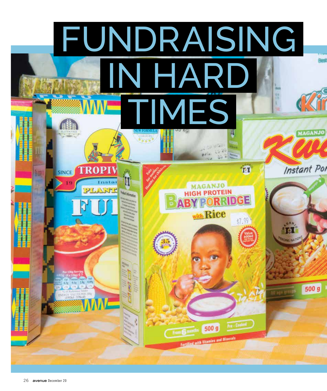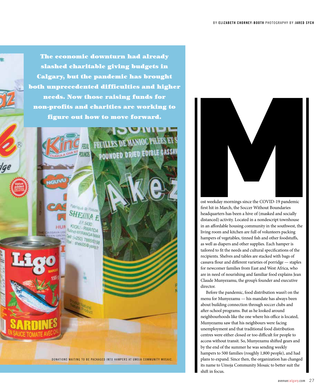The economic downturn had already slashed charitable giving budgets in Calgary, but the pandemic has brought both unprecedented difficulties and higher needs. Now those raising funds for non-profits and charities are working to figure out how to move forward.

LES DE MANIOC PILEES ET

**OUNDED DRIED EDIBLE CASSA** 



DONATIONS WAITING TO BE PACKAGED INTO HAMPERS AT UMOJA COMMUNITY MOSAIC.

ost weekday mornings since the COVID-19 pandemic first hit in March, the Soccer Without Boundaries headquarters has been a hive of (masked and socially distanced) activity. Located in a nondescript townhouse in an affordable housing community in the southwest, the living room and kitchen are full of volunteers packing hampers of vegetables, tinned fish and other foodstuffs, as well as diapers and other supplies. Each hamper is tailored to fit the needs and cultural specifications of the recipients. Shelves and tables are stacked with bags of cassava flour and different varieties of porridge — staples for newcomer families from East and West Africa, who are in need of nourishing and familiar food explains Jean Claude Munyezamu, the group's founder and executive director.

Before the pandemic, food distribution wasn't on the menu for Munyezamu — his mandate has always been about building connection through soccer clubs and after-school programs. But as he looked around neighbourhoods like the one where his office is located, Munyezamu saw that his neighbours were facing unemployment and that traditional food distribution centres were either closed or too difficult for people to access without transit. So, Munyezamu shifted gears and by the end of the summer he was sending weekly hampers to 500 families (roughly 1,800 people), and had plans to expand. Since then, the organization has changed its name to Umoja Community Mosaic to better suit the shift in focus.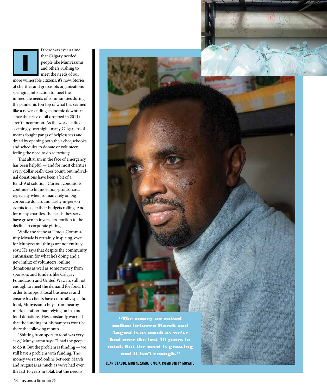

f there was ever a time that Calgary needed people like Munyezamu and others rushing to meet the needs of our

more vulnerable citizens, it's now. Stories of charities and grassroots organizations springing into action to meet the immediate needs of communities during the pandemic (on top of what has seemed like a never-ending economic downturn since the price of oil dropped in 2014) aren't uncommon. As the world shifted, seemingly overnight, many Calgarians of means fought pangs of helplessness and dread by opening both their chequebooks and schedules to donate or volunteer, feeling the need to do *something*.

That altruism in the face of emergency has been helpful — and for most charities every dollar really does count, but individual donations have been a bit of a Band-Aid solution. Current conditions continue to hit most non-profits hard, especially when so many rely on big corporate dollars and flashy in-person events to keep their budgets rolling. And for many charities, the needs they serve have grown in inverse proportion to the decline in corporate gifting.

While the scene at Umoja Community Mosaic is certainly inspiring, even for Munyezamu things are not entirely rosy. He says that despite the community enthusiasm for what he's doing and a new influx of volunteers, online donations as well as some money from sponsors and funders like Calgary Foundation and United Way, it's still not enough to meet the demand for food. In order to support local businesses and ensure his clients have culturally specific food, Munyezamu buys from nearby markets rather than relying on in-kind food donations. He's constantly worried that the funding for his hampers won't be there the following month.

"Shifting from sport to food was very easy," Munyezamu says. "I had the people to do it. But the problem is funding — we still have a problem with funding. The money we raised online between March and August is as much as we've had over the last 10 years in total. But the need is



online between March and August is as much as we've had over the last 10 years in total. But the need is growing and it isn't enough."

**JEAN CLAUDE MUNYEZAMU, UMOJA COMMUNITY MOSAIC**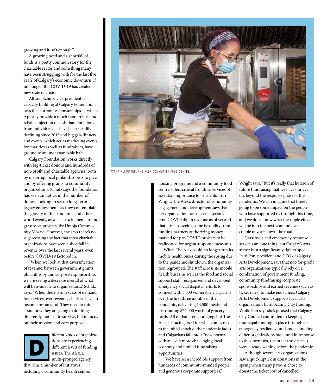growing and it isn't enough."

A growing need and a shortfall of funds is a pretty common story for the charitable sector and something many have been struggling with for the last five years of Calgary's economic downturn, if not longer. But COVID-19 has created a new state of crisis.

Allison Schulz, vice-president of capacity building at Calgary Foundation, says that corporate sponsorships — which typically provide a much more robust and reliable injection of cash than donations from individuals — have been steadily declining since 2015 and big gala dinners and events, which act as marketing events for charities as well as fundraisers, have ground to an understandable halt.

Calgary Foundation works directly with big-ticket donors and hundreds of non-profit and charitable agencies, both by inspiring local philanthropists to give and by offering grants to community organizations. Schulz says the foundation has seen an uptick in the number of donors looking to set up long-term legacy endowments as they contemplate the gravity of the pandemic and other world events, as well as excitement around grassroots projects like Umoja Community Mosaic. However, she says there's no sugarcoating the fact that most charitable organizations have seen a shortfall in revenue over the last several years, even before COVID-19 factored in.

"When we look at that diversification of revenue, between government grants, philanthropy and corporate sponsorship, we are seeing a decrease overall of what will be available to organizations," Schulz says. "When there is an excess of demand for services over revenue, charities have to become resourceful. They need to think about how they are going to do things differently, not just to survive, but to focus on their mission and core purpose."



ifferent kinds of organizations are experiencing different levels of funding issues. The Alex, a multi-pronged agency that runs a number of initiatives,

including a community health centre,



AYSHA KLAWITTER, THE ALEX COMMUNITY FOOD CENTRE.

housing programs and a community food centre, offers critical frontline services of essential importance to its clients. Tori Wright, The Alex's director of community engagement and development says that her organization hasn't seen a serious post-COVID dip in revenue as of yet and that it is also seeing some flexibility from funding partners authorizing money marked for pre-COVID projects to be reallocated for urgent-response measures.

When The Alex could no longer run its mobile health buses during the spring due to the pandemic shutdown, the organization regrouped. The staff across its mobile health buses, as well as the food and social support staff, reorganized and developed emergency social dispatch efforts to connect with 5,000 vulnerable Calgarians over the first three months of the pandemic, delivering 14,500 meals and distributing \$77,000 worth of grocery cards. All of that is encouraging, but The Alex is bracing itself for what comes next as the initial shock of the pandemic fades and Calgarians fall into a "new normal" with an even more challenging local economy and limited fundraising opportunities.

"We have seen incredible support from hundreds of community-minded people and generous corporate supporters,"

Wright says. "But it's really that horizon of future fundraising that we have our eye on, beyond the response phase of this pandemic. We can imagine that there's going to be some impact on the people who have supported us through this time, and we don't know what the ripple effect will be into the next year and even a couple of years down the road."

Grassroots and emergency response services are one thing, but Calgary's arts sector is in a significantly tighter spot. Patti Pon, president and CEO of Calgary Arts Development, says that not-for-profit arts organizations typically rely on a combination of government funding, community fundraising, corporate sponsorships and earned revenue (such as ticket sales) to make ends meet. Calgary Arts Development supports local arts organizations by allocating City funding. While Pon says she's pleased that Calgary City Council committed to keeping municipal funding in place through an emergency resiliency fund and a doubling of her organization's base fund in response to the downturn, the other three pieces were already waning before the pandemic.

Although several arts organizations saw a quick uptick in donations in the spring when many patrons chose to donate the ticket cost of cancelled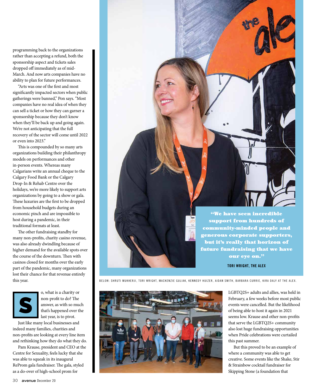programming back to the organizations rather than accepting a refund, both the sponsorship aspect and tickets sales dropped off immediately as of mid-March. And now arts companies have no ability to plan for future performances.

"Arts was one of the first and most significantly impacted sectors when public gatherings were banned," Pon says. "Most companies have no real idea of when they can sell a ticket or how they can garner a sponsorship because they don't know when they'll be back up and going again. We're not anticipating that the full recovery of the sector will come until 2022 or even into 2023."

This is compounded by so many arts organizations building their philanthropy models on performances and other in-person events. Whereas many Calgarians write an annual cheque to the Calgary Food Bank or the Calgary Drop-In & Rehab Centre over the holidays, we're more likely to support arts organizations by going to a show or gala. These luxuries are the first to be dropped from household budgets during an economic pinch and are impossible to host during a pandemic, in their traditional formats at least.

The other fundraising standby for many non-profits, charity casino revenue, was also already dwindling because of higher demand for the available spots over the course of the downturn. Then with casinos closed for months over the early part of the pandemic, many organizations lost their chance for that revenue entirely this year.



o, what is a charity or non-profit to do? The answer, as with so much that's happened over the last year, is to pivot.

Just like many local businesses and indeed many families, charities and non-profits are looking at every line item and rethinking how they do what they do.

Pam Krause, president and CEO at the Centre for Sexuality, feels lucky that she was able to squeak in its inaugural ReProm gala fundraiser. The gala, styled as a do-over of high-school prom for

"We have seen incredible support from hundreds of community-minded people and generous corporate supporters, but it's really that horizon of future fundraising that we have our eye on." **TORI WRIGHT, THE ALEX**

BELOW: SHRUTI MUKHERJI, TORI WRIGHT, MACKENZIE GULIAK, KENNEDY HUIZER, AIDAN SMITH, BARBARA CURRIE, KIRA DALY AT THE ALEX.



LGBTQ2S+ adults and allies, was held in February, a few weeks before most public events were cancelled. But the likelihood of being able to host it again in 2021 seems low. Krause and other non-profits that serve the LGBTQ2S+ community also lost huge fundraising opportunities when Pride celebrations were curtailed this past summer.

But this proved to be an example of where a community was able to get creative. Some events like the Shake, Stir & Strainbow cocktail fundraiser for Skipping Stone (a foundation that